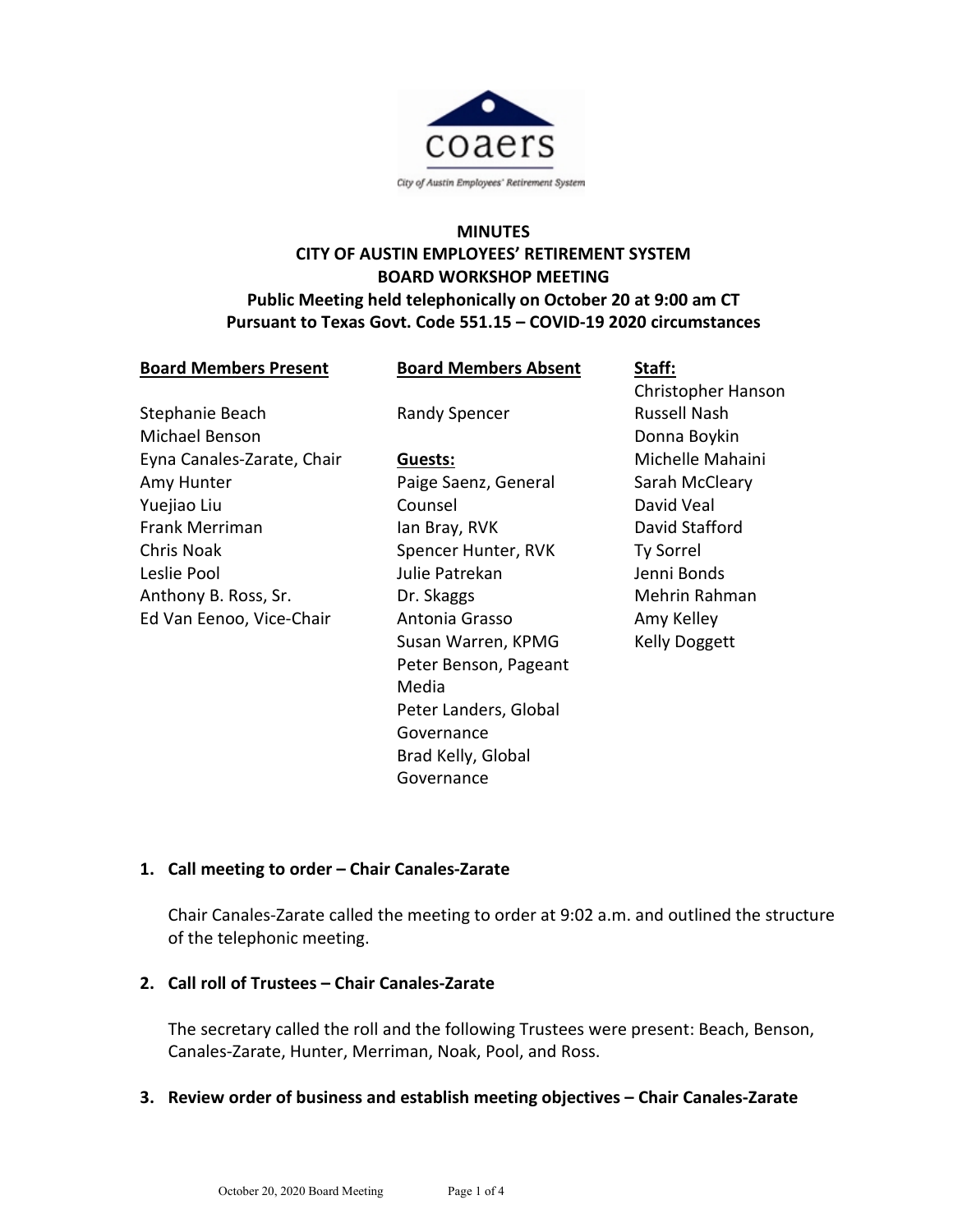

# **MINUTES CITY OF AUSTIN EMPLOYEES' RETIREMENT SYSTEM BOARD WORKSHOP MEETING Public Meeting held telephonically on October 20 at 9:00 am CT Pursuant to Texas Govt. Code 551.15 – COVID-19 2020 circumstances**

**Board Members Absent**

Randy Spencer

| Stephanie Beach            |
|----------------------------|
| Michael Benson             |
| Eyna Canales-Zarate, Chair |
| Amy Hunter                 |
| Yuejiao Liu                |
| <b>Frank Merriman</b>      |
| Chris Noak                 |
| Leslie Pool                |
| Anthony B. Ross, Sr.       |
| Ed Van Eenoo, Vice-Chair   |

**Board Members Present**

**Guests:** Paige Saenz, General Counsel Ian Bray, RVK Spencer Hunter, RVK Julie Patrekan Dr. Skaggs Antonia Grasso Susan Warren, KPMG Peter Benson, Pageant Media Peter Landers, Global Governance Brad Kelly, Global Governance

**Staff:** Christopher Hanson Russell Nash Donna Boykin Michelle Mahaini Sarah McCleary David Veal David Stafford Ty Sorrel Jenni Bonds Mehrin Rahman Amy Kelley Kelly Doggett

# **1. Call meeting to order – Chair Canales-Zarate**

Chair Canales-Zarate called the meeting to order at 9:02 a.m. and outlined the structure of the telephonic meeting.

#### **2. Call roll of Trustees – Chair Canales-Zarate**

The secretary called the roll and the following Trustees were present: Beach, Benson, Canales-Zarate, Hunter, Merriman, Noak, Pool, and Ross.

#### **3. Review order of business and establish meeting objectives – Chair Canales-Zarate**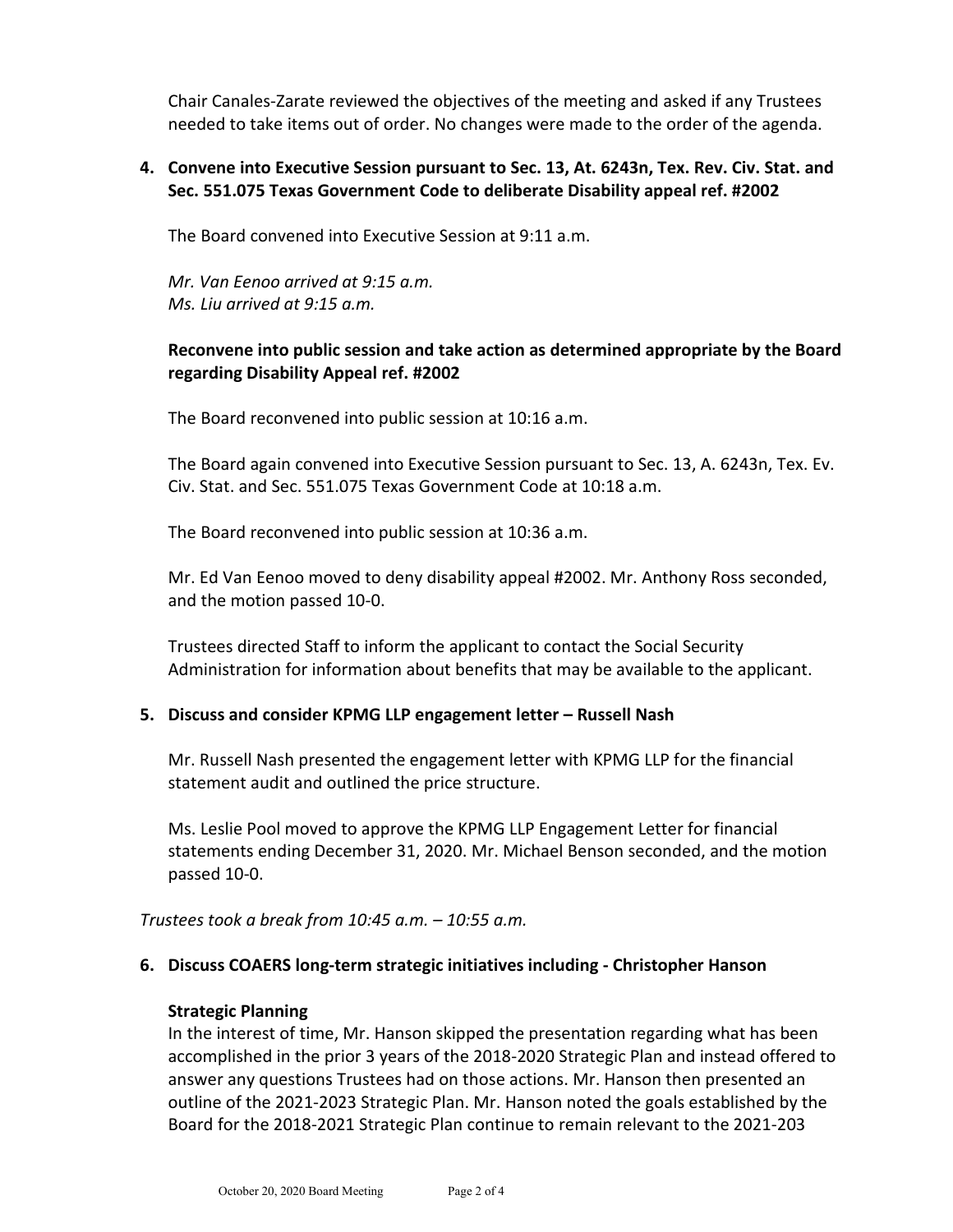Chair Canales-Zarate reviewed the objectives of the meeting and asked if any Trustees needed to take items out of order. No changes were made to the order of the agenda.

#### **4. Convene into Executive Session pursuant to Sec. 13, At. 6243n, Tex. Rev. Civ. Stat. and Sec. 551.075 Texas Government Code to deliberate Disability appeal ref. #2002**

The Board convened into Executive Session at 9:11 a.m.

*Mr. Van Eenoo arrived at 9:15 a.m. Ms. Liu arrived at 9:15 a.m.*

## **Reconvene into public session and take action as determined appropriate by the Board regarding Disability Appeal ref. #2002**

The Board reconvened into public session at 10:16 a.m.

The Board again convened into Executive Session pursuant to Sec. 13, A. 6243n, Tex. Ev. Civ. Stat. and Sec. 551.075 Texas Government Code at 10:18 a.m.

The Board reconvened into public session at 10:36 a.m.

Mr. Ed Van Eenoo moved to deny disability appeal #2002. Mr. Anthony Ross seconded, and the motion passed 10-0.

Trustees directed Staff to inform the applicant to contact the Social Security Administration for information about benefits that may be available to the applicant.

## **5. Discuss and consider KPMG LLP engagement letter – Russell Nash**

Mr. Russell Nash presented the engagement letter with KPMG LLP for the financial statement audit and outlined the price structure.

Ms. Leslie Pool moved to approve the KPMG LLP Engagement Letter for financial statements ending December 31, 2020. Mr. Michael Benson seconded, and the motion passed 10-0.

*Trustees took a break from 10:45 a.m. – 10:55 a.m.*

## **6. Discuss COAERS long-term strategic initiatives including - Christopher Hanson**

## **Strategic Planning**

In the interest of time, Mr. Hanson skipped the presentation regarding what has been accomplished in the prior 3 years of the 2018-2020 Strategic Plan and instead offered to answer any questions Trustees had on those actions. Mr. Hanson then presented an outline of the 2021-2023 Strategic Plan. Mr. Hanson noted the goals established by the Board for the 2018-2021 Strategic Plan continue to remain relevant to the 2021-203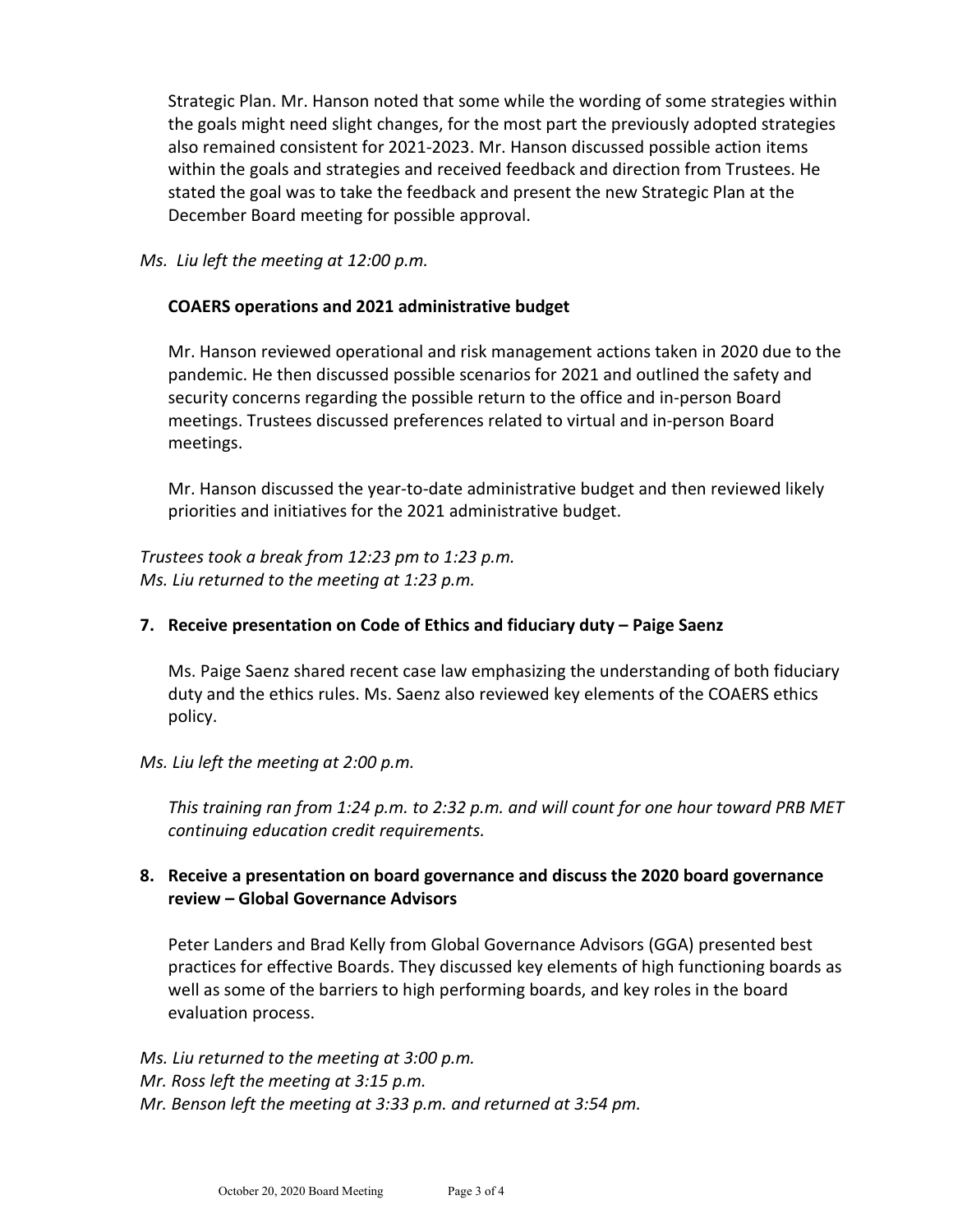Strategic Plan. Mr. Hanson noted that some while the wording of some strategies within the goals might need slight changes, for the most part the previously adopted strategies also remained consistent for 2021-2023. Mr. Hanson discussed possible action items within the goals and strategies and received feedback and direction from Trustees. He stated the goal was to take the feedback and present the new Strategic Plan at the December Board meeting for possible approval.

*Ms. Liu left the meeting at 12:00 p.m.*

#### **COAERS operations and 2021 administrative budget**

Mr. Hanson reviewed operational and risk management actions taken in 2020 due to the pandemic. He then discussed possible scenarios for 2021 and outlined the safety and security concerns regarding the possible return to the office and in-person Board meetings. Trustees discussed preferences related to virtual and in-person Board meetings.

Mr. Hanson discussed the year-to-date administrative budget and then reviewed likely priorities and initiatives for the 2021 administrative budget.

*Trustees took a break from 12:23 pm to 1:23 p.m. Ms. Liu returned to the meeting at 1:23 p.m.*

## **7. Receive presentation on Code of Ethics and fiduciary duty – Paige Saenz**

Ms. Paige Saenz shared recent case law emphasizing the understanding of both fiduciary duty and the ethics rules. Ms. Saenz also reviewed key elements of the COAERS ethics policy.

#### *Ms. Liu left the meeting at 2:00 p.m.*

*This training ran from 1:24 p.m. to 2:32 p.m. and will count for one hour toward PRB MET continuing education credit requirements.*

## **8. Receive a presentation on board governance and discuss the 2020 board governance review – Global Governance Advisors**

Peter Landers and Brad Kelly from Global Governance Advisors (GGA) presented best practices for effective Boards. They discussed key elements of high functioning boards as well as some of the barriers to high performing boards, and key roles in the board evaluation process.

*Ms. Liu returned to the meeting at 3:00 p.m. Mr. Ross left the meeting at 3:15 p.m. Mr. Benson left the meeting at 3:33 p.m. and returned at 3:54 pm.*